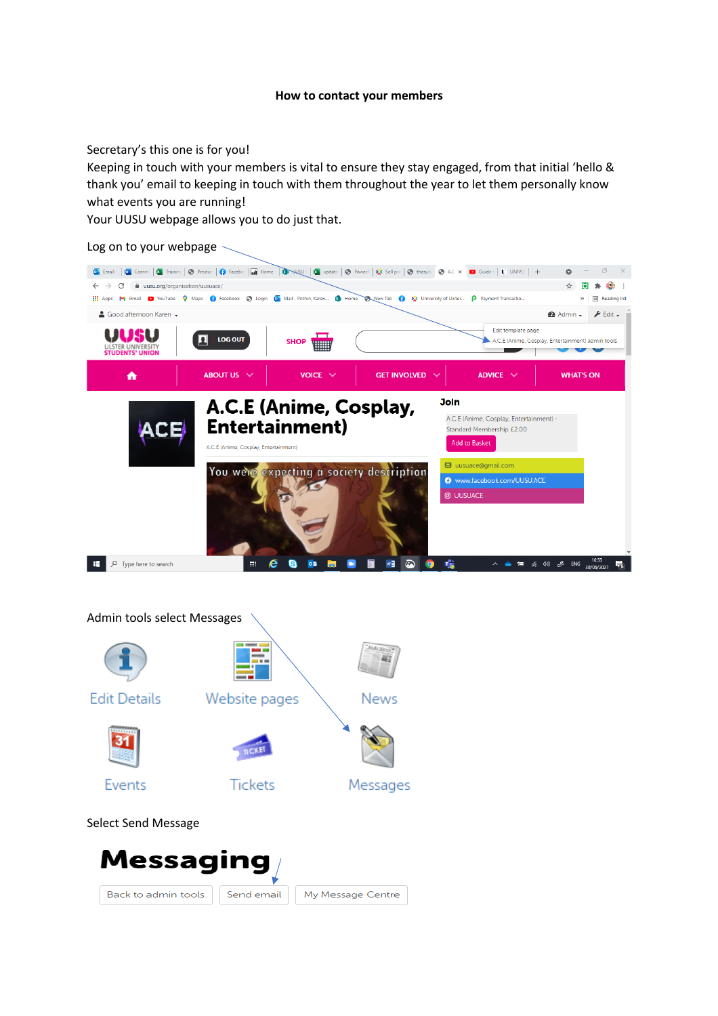## **How to contact your members**

Secretary's this one is for you!

Keeping in touch with your members is vital to ensure they stay engaged, from that initial 'hello & thank you' email to keeping in touch with them throughout the year to let them personally know what events you are running!

Your UUSU webpage allows you to do just that.



## Admin tools select Messages

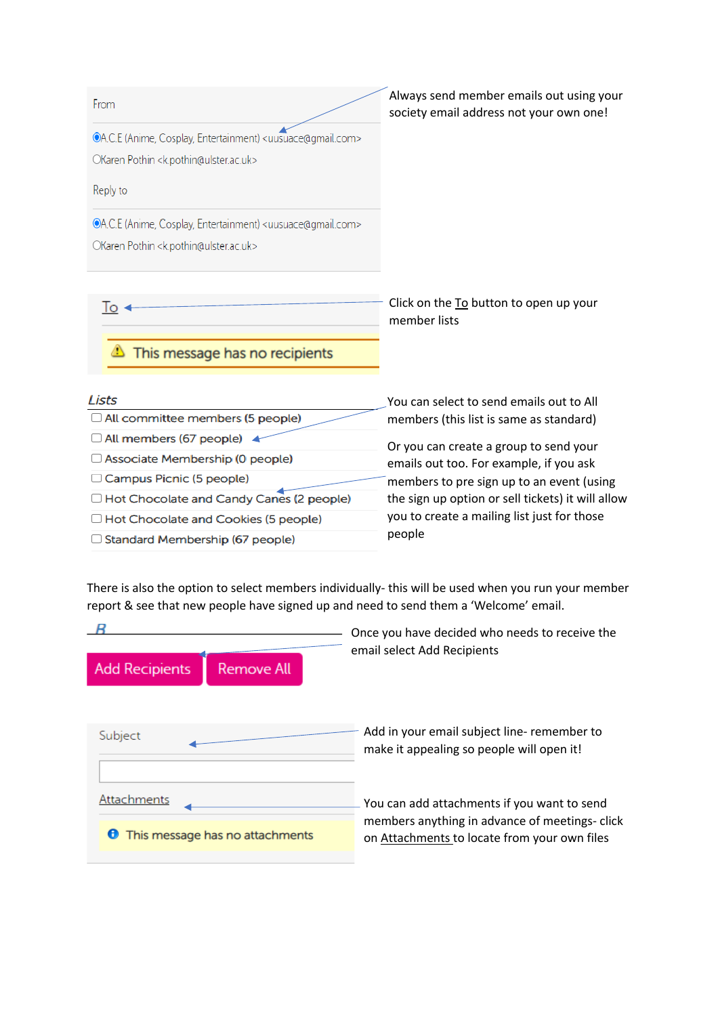| From                                                                                                                                                    | Always send member emails out using your<br>society email address not your own one!                                                                                                      |
|---------------------------------------------------------------------------------------------------------------------------------------------------------|------------------------------------------------------------------------------------------------------------------------------------------------------------------------------------------|
| <b>OA.C.E</b> (Anime, Cosplay, Entertainment) <uusuace@gmail.com><br/>OKaren Pothin <k.pothin@ulster.ac.uk></k.pothin@ulster.ac.uk></uusuace@gmail.com> |                                                                                                                                                                                          |
| Reply to                                                                                                                                                |                                                                                                                                                                                          |
| OA.C.E (Anime, Cosplay, Entertainment) <uusuace@gmail.com><br/>OKaren Pothin <k.pothin@ulster.ac.uk></k.pothin@ulster.ac.uk></uusuace@gmail.com>        |                                                                                                                                                                                          |
| o                                                                                                                                                       | Click on the To button to open up your<br>member lists                                                                                                                                   |
| This message has no recipients                                                                                                                          |                                                                                                                                                                                          |
| Lists                                                                                                                                                   | You can select to send emails out to All                                                                                                                                                 |
| All committee members (5 people)                                                                                                                        | members (this list is same as standard)                                                                                                                                                  |
| All members (67 people) 4                                                                                                                               | Or you can create a group to send your                                                                                                                                                   |
| Associate Membership (0 people)                                                                                                                         | emails out too. For example, if you ask<br>members to pre sign up to an event (using<br>the sign up option or sell tickets) it will allow<br>you to create a mailing list just for those |
| Campus Picnic (5 people)                                                                                                                                |                                                                                                                                                                                          |
| Hot Chocolate and Candy Canes (2 people)                                                                                                                |                                                                                                                                                                                          |
| Hot Chocolate and Cookies (5 people)                                                                                                                    |                                                                                                                                                                                          |

□ Standard Membership (67 people)

There is also the option to select members individually- this will be used when you run your member report & see that new people have signed up and need to send them a 'Welcome' email.

people